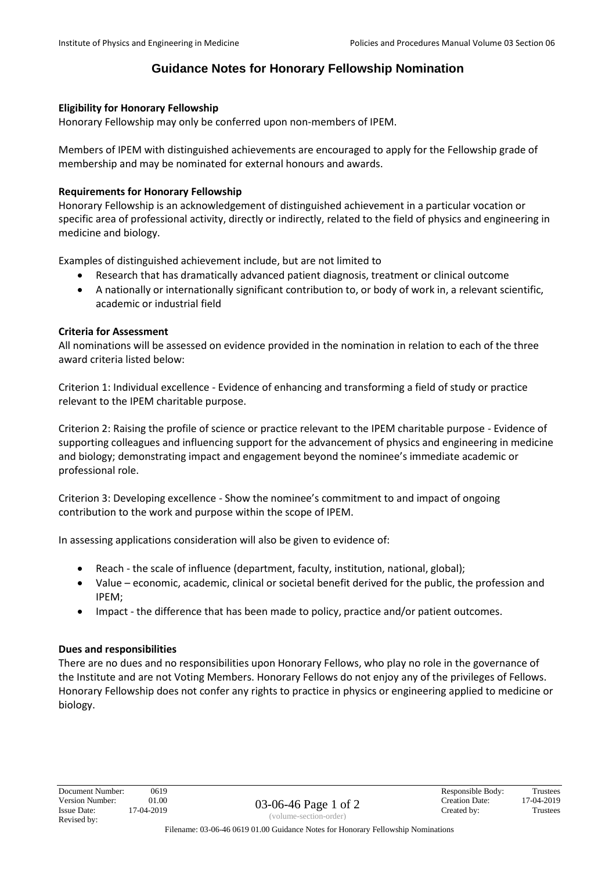# **Guidance Notes for Honorary Fellowship Nomination**

### **Eligibility for Honorary Fellowship**

Honorary Fellowship may only be conferred upon non-members of IPEM.

Members of IPEM with distinguished achievements are encouraged to apply for the Fellowship grade of membership and may be nominated for external honours and awards.

### **Requirements for Honorary Fellowship**

Honorary Fellowship is an acknowledgement of distinguished achievement in a particular vocation or specific area of professional activity, directly or indirectly, related to the field of physics and engineering in medicine and biology.

Examples of distinguished achievement include, but are not limited to

- Research that has dramatically advanced patient diagnosis, treatment or clinical outcome
- A nationally or internationally significant contribution to, or body of work in, a relevant scientific, academic or industrial field

### **Criteria for Assessment**

All nominations will be assessed on evidence provided in the nomination in relation to each of the three award criteria listed below:

Criterion 1: Individual excellence - Evidence of enhancing and transforming a field of study or practice relevant to the IPEM charitable purpose.

Criterion 2: Raising the profile of science or practice relevant to the IPEM charitable purpose - Evidence of supporting colleagues and influencing support for the advancement of physics and engineering in medicine and biology; demonstrating impact and engagement beyond the nominee's immediate academic or professional role.

Criterion 3: Developing excellence - Show the nominee's commitment to and impact of ongoing contribution to the work and purpose within the scope of IPEM.

In assessing applications consideration will also be given to evidence of:

- Reach the scale of influence (department, faculty, institution, national, global);
- Value economic, academic, clinical or societal benefit derived for the public, the profession and IPEM;
- Impact the difference that has been made to policy, practice and/or patient outcomes.

#### **Dues and responsibilities**

There are no dues and no responsibilities upon Honorary Fellows, who play no role in the governance of the Institute and are not Voting Members. Honorary Fellows do not enjoy any of the privileges of Fellows. Honorary Fellowship does not confer any rights to practice in physics or engineering applied to medicine or biology.